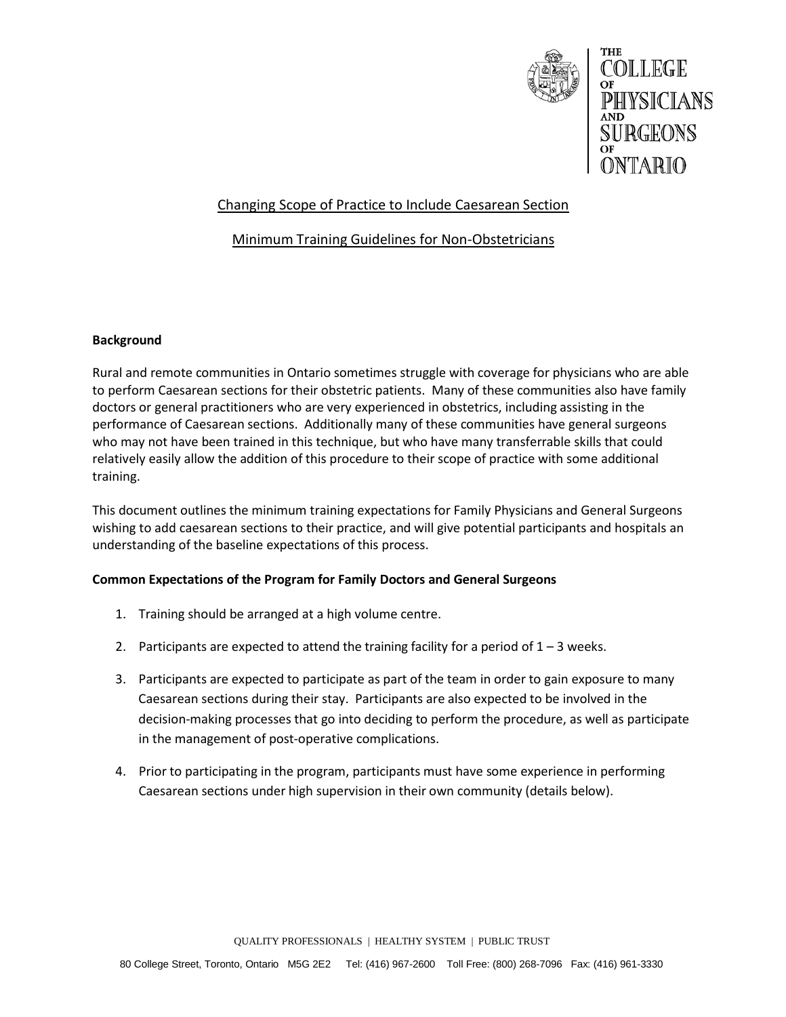

# Changing Scope of Practice to Include Caesarean Section

## Minimum Training Guidelines for Non-Obstetricians

### **Background**

Rural and remote communities in Ontario sometimes struggle with coverage for physicians who are able to perform Caesarean sections for their obstetric patients. Many of these communities also have family doctors or general practitioners who are very experienced in obstetrics, including assisting in the performance of Caesarean sections. Additionally many of these communities have general surgeons who may not have been trained in this technique, but who have many transferrable skills that could relatively easily allow the addition of this procedure to their scope of practice with some additional training.

This document outlines the minimum training expectations for Family Physicians and General Surgeons wishing to add caesarean sections to their practice, and will give potential participants and hospitals an understanding of the baseline expectations of this process.

#### **Common Expectations of the Program for Family Doctors and General Surgeons**

- 1. Training should be arranged at a high volume centre.
- 2. Participants are expected to attend the training facility for a period of  $1 3$  weeks.
- 3. Participants are expected to participate as part of the team in order to gain exposure to many Caesarean sections during their stay. Participants are also expected to be involved in the decision-making processes that go into deciding to perform the procedure, as well as participate in the management of post-operative complications.
- 4. Prior to participating in the program, participants must have some experience in performing Caesarean sections under high supervision in their own community (details below).

QUALITY PROFESSIONALS | HEALTHY SYSTEM | PUBLIC TRUST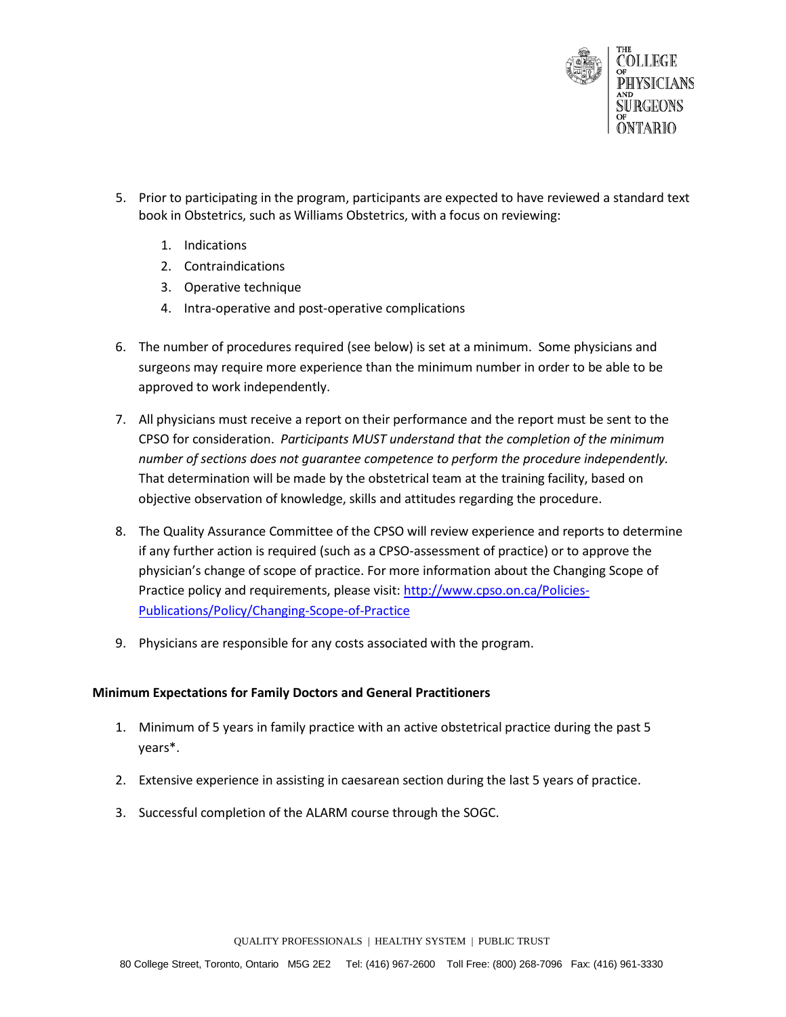

- 5. Prior to participating in the program, participants are expected to have reviewed a standard text book in Obstetrics, such as Williams Obstetrics, with a focus on reviewing:
	- 1. Indications
	- 2. Contraindications
	- 3. Operative technique
	- 4. Intra-operative and post-operative complications
- 6. The number of procedures required (see below) is set at a minimum. Some physicians and surgeons may require more experience than the minimum number in order to be able to be approved to work independently.
- 7. All physicians must receive a report on their performance and the report must be sent to the CPSO for consideration. *Participants MUST understand that the completion of the minimum number of sections does not guarantee competence to perform the procedure independently.*  That determination will be made by the obstetrical team at the training facility, based on objective observation of knowledge, skills and attitudes regarding the procedure.
- 8. The Quality Assurance Committee of the CPSO will review experience and reports to determine if any further action is required (such as a CPSO-assessment of practice) or to approve the physician's change of scope of practice. For more information about the Changing Scope of Practice policy and requirements, please visit[: http://www.cpso.on.ca/Policies-](http://www.cpso.on.ca/Policies-Publications/Policy/Changing-Scope-of-Practice)[Publications/Policy/Changing-Scope-of-Practice](http://www.cpso.on.ca/Policies-Publications/Policy/Changing-Scope-of-Practice)
- 9. Physicians are responsible for any costs associated with the program.

#### **Minimum Expectations for Family Doctors and General Practitioners**

- 1. Minimum of 5 years in family practice with an active obstetrical practice during the past 5 years\*.
- 2. Extensive experience in assisting in caesarean section during the last 5 years of practice.
- 3. Successful completion of the ALARM course through the SOGC.

QUALITY PROFESSIONALS | HEALTHY SYSTEM | PUBLIC TRUST